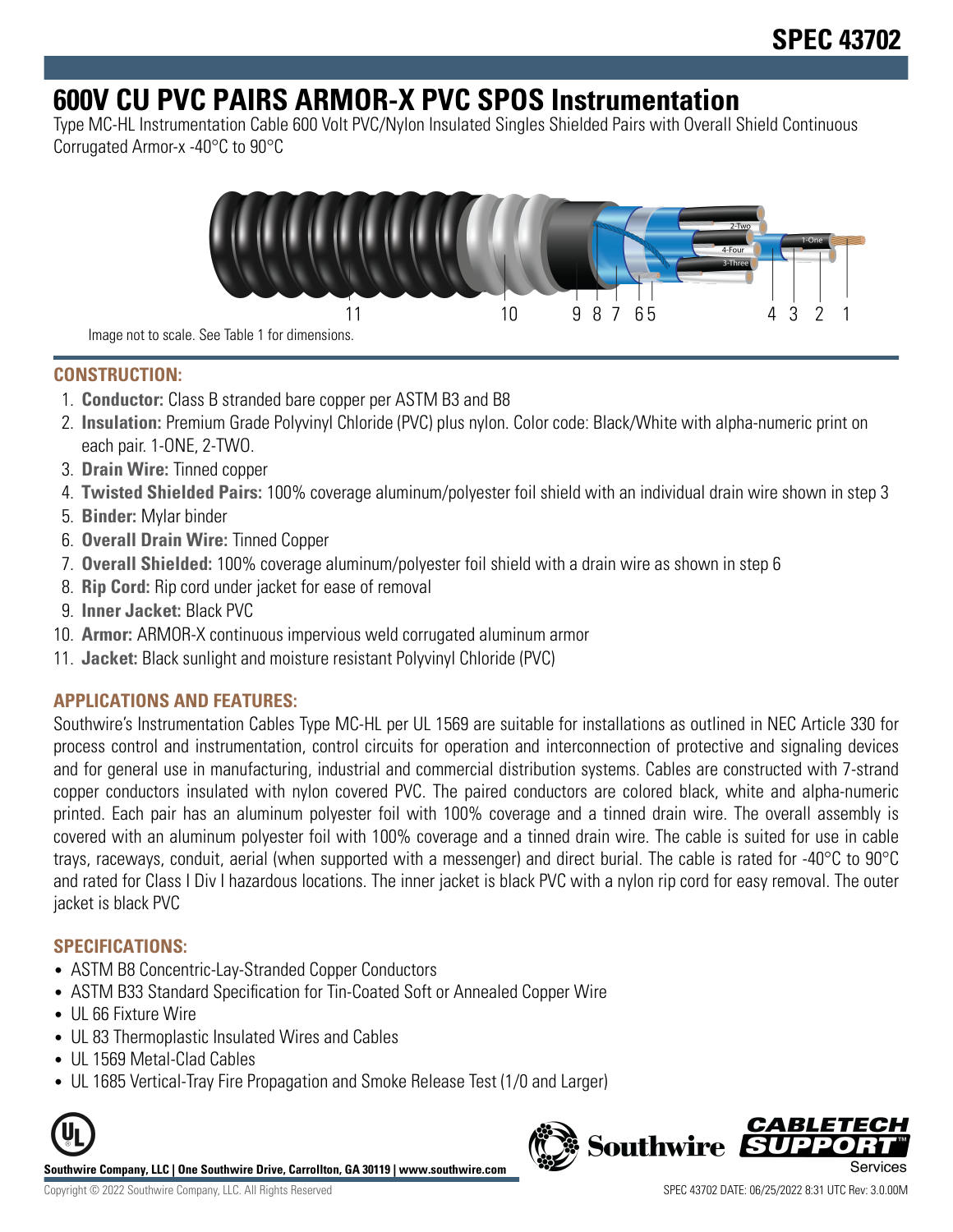# **600V CU PVC PAIRS ARMOR-X PVC SPOS Instrumentation**

Type MC-HL Instrumentation Cable 600 Volt PVC/Nylon Insulated Singles Shielded Pairs with Overall Shield Continuous Corrugated Armor-x -40°C to 90°C



Image not to scale. See Table 1 for dimensions.

## **CONSTRUCTION:**

- 1. **Conductor:** Class B stranded bare copper per ASTM B3 and B8
- 2. **Insulation:** Premium Grade Polyvinyl Chloride (PVC) plus nylon. Color code: Black/White with alpha-numeric print on each pair. 1-ONE, 2-TWO.
- 3. **Drain Wire:** Tinned copper
- 4. **Twisted Shielded Pairs:** 100% coverage aluminum/polyester foil shield with an individual drain wire shown in step 3
- 5. **Binder:** Mylar binder
- 6. **Overall Drain Wire:** Tinned Copper
- 7. **Overall Shielded:** 100% coverage aluminum/polyester foil shield with a drain wire as shown in step 6
- 8. **Rip Cord:** Rip cord under jacket for ease of removal
- 9. **Inner Jacket:** Black PVC
- 10. **Armor:** ARMOR-X continuous impervious weld corrugated aluminum armor
- 11. **Jacket:** Black sunlight and moisture resistant Polyvinyl Chloride (PVC)

## **APPLICATIONS AND FEATURES:**

Southwire's Instrumentation Cables Type MC-HL per UL 1569 are suitable for installations as outlined in NEC Article 330 for process control and instrumentation, control circuits for operation and interconnection of protective and signaling devices and for general use in manufacturing, industrial and commercial distribution systems. Cables are constructed with 7-strand copper conductors insulated with nylon covered PVC. The paired conductors are colored black, white and alpha-numeric printed. Each pair has an aluminum polyester foil with 100% coverage and a tinned drain wire. The overall assembly is covered with an aluminum polyester foil with 100% coverage and a tinned drain wire. The cable is suited for use in cable trays, raceways, conduit, aerial (when supported with a messenger) and direct burial. The cable is rated for -40°C to 90°C and rated for Class I Div I hazardous locations. The inner jacket is black PVC with a nylon rip cord for easy removal. The outer jacket is black PVC

### **SPECIFICATIONS:**

- ASTM B8 Concentric-Lay-Stranded Copper Conductors
- ASTM B33 Standard Specification for Tin-Coated Soft or Annealed Copper Wire
- UL 66 Fixture Wire
- UL 83 Thermoplastic Insulated Wires and Cables
- UL 1569 Metal-Clad Cables
- UL 1685 Vertical-Tray Fire Propagation and Smoke Release Test (1/0 and Larger)



**Southwire Company, LLC | One Southwire Drive, Carrollton, GA 30119 | www.southwire.com**

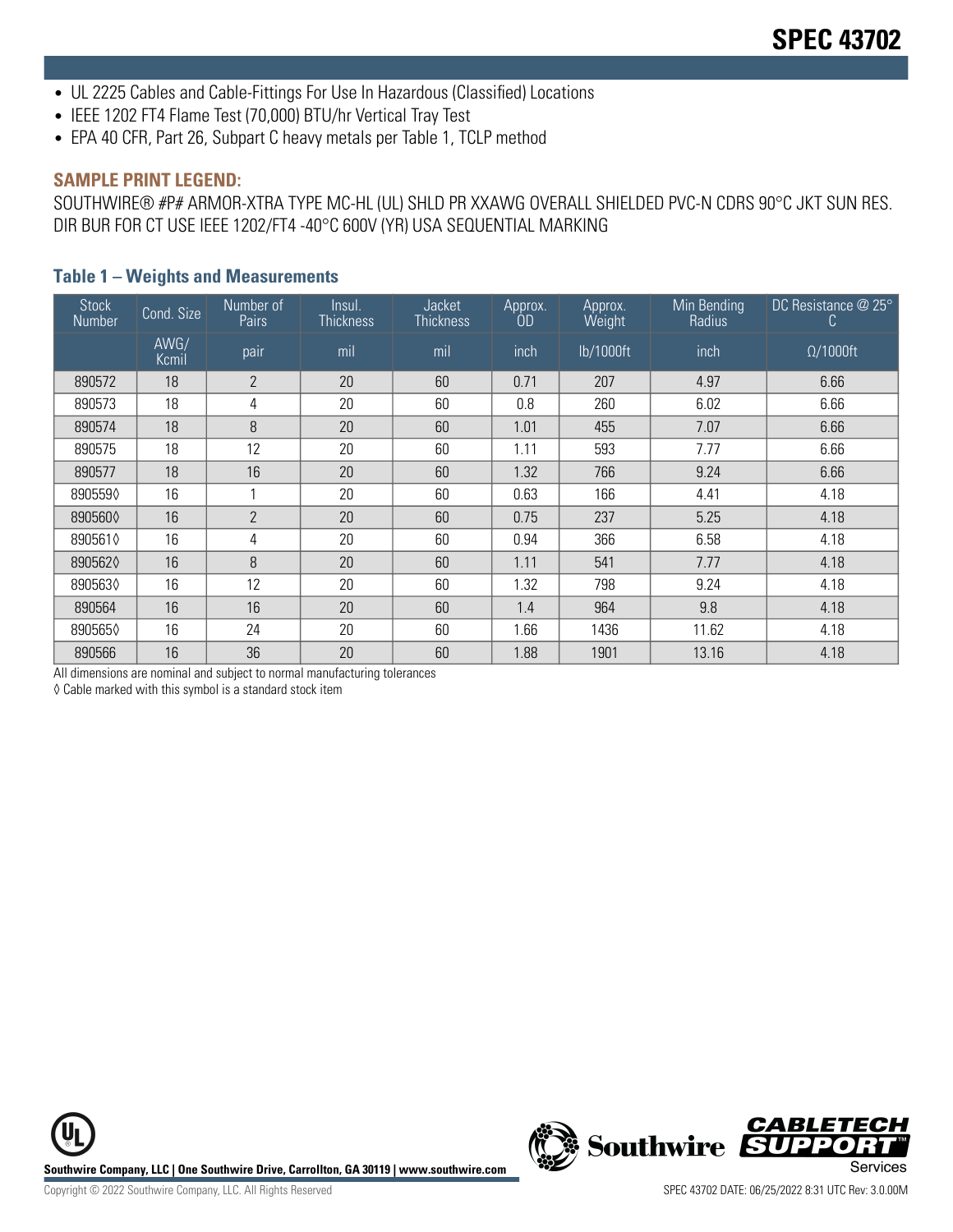- UL 2225 Cables and Cable-Fittings For Use In Hazardous (Classified) Locations
- IEEE 1202 FT4 Flame Test (70,000) BTU/hr Vertical Tray Test
- EPA 40 CFR, Part 26, Subpart C heavy metals per Table 1, TCLP method

#### **SAMPLE PRINT LEGEND:**

SOUTHWIRE® #P# ARMOR-XTRA TYPE MC-HL (UL) SHLD PR XXAWG OVERALL SHIELDED PVC-N CDRS 90°C JKT SUN RES. DIR BUR FOR CT USE IEEE 1202/FT4 -40°C 600V (YR) USA SEQUENTIAL MARKING

#### **Table 1 – Weights and Measurements**

| <b>Stock</b><br>Number | Cond. Size    | Number of<br>Pairs | Insul.<br><b>Thickness</b> | Jacket<br><b>Thickness</b> | Approx.<br>OD | Approx.<br>Weight | Min Bending<br>Radius | DC Resistance @ 25°<br>C. |
|------------------------|---------------|--------------------|----------------------------|----------------------------|---------------|-------------------|-----------------------|---------------------------|
|                        | AWG/<br>Kcmil | pair               | mil                        | mil                        | inch          | lb/1000ft         | inch                  | $\Omega/1000$ ft          |
| 890572                 | 18            | $\mathbf{2}$       | 20                         | 60                         | 0.71          | 207               | 4.97                  | 6.66                      |
| 890573                 | 18            | 4                  | 20                         | 60                         | 0.8           | 260               | 6.02                  | 6.66                      |
| 890574                 | 18            | 8                  | 20                         | 60                         | 1.01          | 455               | 7.07                  | 6.66                      |
| 890575                 | 18            | 12                 | 20                         | 60                         | 1.11          | 593               | 7.77                  | 6.66                      |
| 890577                 | 18            | 16                 | 20                         | 60                         | 1.32          | 766               | 9.24                  | 6.66                      |
| 8905590                | 16            |                    | 20                         | 60                         | 0.63          | 166               | 4.41                  | 4.18                      |
| 8905600                | 16            | $\overline{2}$     | 20                         | 60                         | 0.75          | 237               | 5.25                  | 4.18                      |
| 8905610                | 16            | 4                  | 20                         | 60                         | 0.94          | 366               | 6.58                  | 4.18                      |
| 8905620                | 16            | 8                  | 20                         | 60                         | 1.11          | 541               | 7.77                  | 4.18                      |
| 8905630                | 16            | 12                 | 20                         | 60                         | 1.32          | 798               | 9.24                  | 4.18                      |
| 890564                 | 16            | 16                 | 20                         | 60                         | 1.4           | 964               | 9.8                   | 4.18                      |
| 8905650                | 16            | 24                 | 20                         | 60                         | 1.66          | 1436              | 11.62                 | 4.18                      |
| 890566                 | 16            | 36                 | 20                         | 60                         | 1.88          | 1901              | 13.16                 | 4.18                      |

All dimensions are nominal and subject to normal manufacturing tolerances

◊ Cable marked with this symbol is a standard stock item

**Southwire Company, LLC | One Southwire Drive, Carrollton, GA 30119 | www.southwire.com**